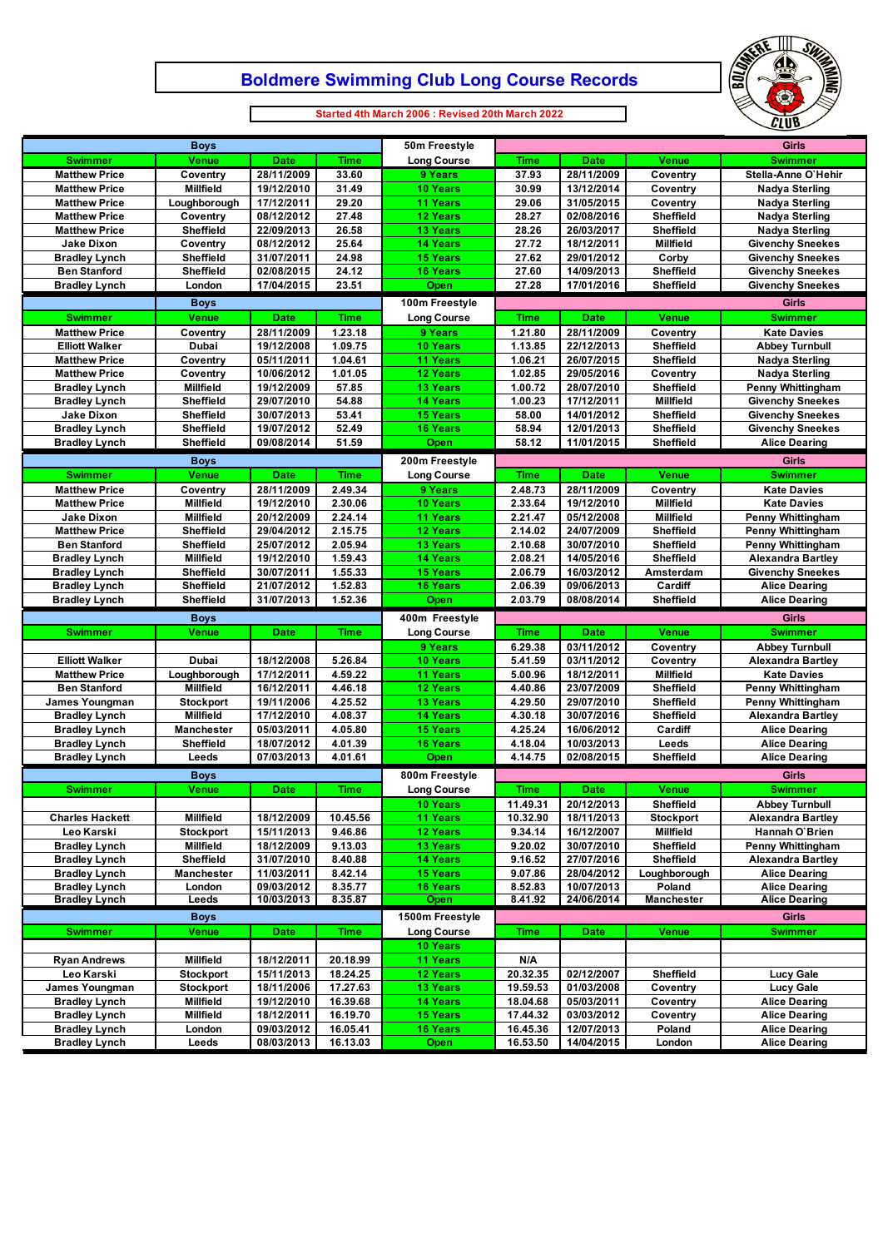# **Boldmere Swimming Club Long Course Records**



**Started 4th March 2006 : Revised 20th March 2022**

 $\Box$ 

| <b>Boys</b>                                  |                   |                          |                      | 50m Freestyle                 | Girls                |                           |                      |                                              |
|----------------------------------------------|-------------------|--------------------------|----------------------|-------------------------------|----------------------|---------------------------|----------------------|----------------------------------------------|
| <b>Swimmer</b>                               | <b>Venue</b>      | <b>Date</b>              | <b>Time</b>          | <b>Long Course</b>            | Time                 | <b>Date</b>               | Venue                | <b>Swimmer</b>                               |
| <b>Matthew Price</b>                         | Coventry          | 28/11/2009               | 33.60                | 9 Years                       | 37.93                | 28/11/2009                | Coventry             | Stella-Anne O'Hehir                          |
| <b>Matthew Price</b>                         | <b>Millfield</b>  | 19/12/2010               | 31.49                | 10 Years                      | 30.99                | 13/12/2014                | Coventry             | <b>Nadya Sterling</b>                        |
| <b>Matthew Price</b>                         | Loughborough      | 17/12/2011               | 29.20                | <b>11 Years</b>               | 29.06                | 31/05/2015                | Coventry             | <b>Nadya Sterling</b>                        |
| <b>Matthew Price</b>                         | Coventry          | 08/12/2012               | 27.48                | 12 Years                      | 28.27                | 02/08/2016                | Sheffield            | <b>Nadya Sterling</b>                        |
| <b>Matthew Price</b>                         | Sheffield         | 22/09/2013               | 26.58                | <b>13 Years</b>               | 28.26                | 26/03/2017                | <b>Sheffield</b>     | <b>Nadya Sterling</b>                        |
| <b>Jake Dixon</b>                            | Coventry          | 08/12/2012               | 25.64                | <b>14 Years</b>               | 27.72                | 18/12/2011                | Millfield            | <b>Givenchy Sneekes</b>                      |
| <b>Bradley Lynch</b>                         | Sheffield         | 31/07/2011               | 24.98                | <b>15 Years</b>               | 27.62                | 29/01/2012                | Corby                | <b>Givenchy Sneekes</b>                      |
| <b>Ben Stanford</b>                          | <b>Sheffield</b>  | 02/08/2015               | 24.12                | <b>16 Years</b>               | 27.60                | 14/09/2013                | Sheffield            | <b>Givenchy Sneekes</b>                      |
| <b>Bradley Lynch</b>                         | London            | 17/04/2015               | 23.51                | Open                          | 27.28                | 17/01/2016                | Sheffield            | <b>Givenchy Sneekes</b>                      |
|                                              | <b>Boys</b>       |                          |                      | 100m Freestyle                |                      |                           |                      | Girls                                        |
| <b>Swimmer</b>                               | <b>Venue</b>      | <b>Date</b>              | <b>Time</b>          | <b>Long Course</b>            | <b>Time</b>          | <b>Date</b>               | <b>Venue</b>         | <b>Swimmer</b>                               |
| <b>Matthew Price</b>                         | Coventry          | 28/11/2009               | 1.23.18              | 9 Years                       | 1.21.80              | 28/11/2009                | Coventry             | <b>Kate Davies</b>                           |
| <b>Elliott Walker</b>                        | Dubai             | 19/12/2008               | 1.09.75              | <b>10 Years</b>               | 1.13.85              | 22/12/2013                | Sheffield            | <b>Abbey Turnbull</b>                        |
| <b>Matthew Price</b>                         | Coventry          | 05/11/2011               | 1.04.61              | <b>11 Years</b>               | 1.06.21              | 26/07/2015                | Sheffield            | <b>Nadya Sterling</b>                        |
| <b>Matthew Price</b>                         | Coventry          | 10/06/2012               | 1.01.05              | 12 Years                      | 1.02.85              | 29/05/2016                | Coventry             | <b>Nadya Sterling</b>                        |
| <b>Bradley Lynch</b>                         | <b>Millfield</b>  | 19/12/2009               | 57.85                | <b>13 Years</b>               | 1.00.72              | 28/07/2010                | <b>Sheffield</b>     | <b>Penny Whittingham</b>                     |
| <b>Bradley Lynch</b>                         | Sheffield         | 29/07/2010               | 54.88                | <b>14 Years</b>               | 1.00.23              | 17/12/2011                | Millfield            | <b>Givenchy Sneekes</b>                      |
| <b>Jake Dixon</b>                            | Sheffield         | 30/07/2013               | 53.41                | <b>15 Years</b>               | 58.00                | 14/01/2012                | Sheffield            | <b>Givenchy Sneekes</b>                      |
| <b>Bradley Lynch</b>                         | Sheffield         | 19/07/2012               | 52.49                | <b>16 Years</b>               | 58.94                | 12/01/2013                | Sheffield            | <b>Givenchy Sneekes</b>                      |
| <b>Bradley Lynch</b>                         | Sheffield         | 09/08/2014               | 51.59                | Open                          | 58.12                | 11/01/2015                | <b>Sheffield</b>     | <b>Alice Dearing</b>                         |
|                                              | <b>Boys</b>       |                          |                      | 200m Freestyle                |                      |                           |                      | Girls                                        |
| <b>Swimmer</b>                               | <b>Venue</b>      | <b>Date</b>              | <b>Time</b>          | <b>Long Course</b>            | <b>Time</b>          | <b>Date</b>               | <b>Venue</b>         | <b>Swimmer</b>                               |
| <b>Matthew Price</b>                         | Coventry          | 28/11/2009               | 2.49.34              | 9 Years                       | 2.48.73              | 28/11/2009                | Coventry             | <b>Kate Davies</b>                           |
| <b>Matthew Price</b>                         | <b>Millfield</b>  | 19/12/2010               | 2.30.06              | 10 Years                      | 2.33.64              | 19/12/2010                | <b>Millfield</b>     | <b>Kate Davies</b>                           |
| <b>Jake Dixon</b>                            | <b>Millfield</b>  | 20/12/2009               | 2.24.14              | <b>11 Years</b>               | 2.21.47              | 05/12/2008                | <b>Millfield</b>     | Penny Whittingham                            |
| <b>Matthew Price</b>                         | Sheffield         | 29/04/2012               | 2.15.75              | 12 Years                      | 2.14.02              | 24/07/2009                | Sheffield            | <b>Penny Whittingham</b>                     |
| <b>Ben Stanford</b>                          | Sheffield         | 25/07/2012               | 2.05.94              | <b>13 Years</b>               | 2.10.68              | 30/07/2010                | Sheffield            | <b>Penny Whittingham</b>                     |
| <b>Bradley Lynch</b>                         | Millfield         | 19/12/2010               | 1.59.43              | <b>14 Years</b>               | 2.08.21              | 14/05/2016                | <b>Sheffield</b>     | <b>Alexandra Bartley</b>                     |
| <b>Bradley Lynch</b>                         | Sheffield         | 30/07/2011               | 1.55.33              | <b>15 Years</b>               | 2.06.79              | 16/03/2012                | Amsterdam            | <b>Givenchy Sneekes</b>                      |
| <b>Bradley Lynch</b>                         | Sheffield         | 21/07/2012               | 1.52.83              | <b>16 Years</b>               | 2.06.39              | 09/06/2013                | Cardiff              | <b>Alice Dearing</b>                         |
|                                              |                   |                          |                      |                               |                      |                           |                      |                                              |
| <b>Bradley Lynch</b>                         | Sheffield         | 31/07/2013               | 1.52.36              | Open                          | 2.03.79              | 08/08/2014                | Sheffield            | <b>Alice Dearing</b>                         |
|                                              |                   |                          |                      |                               |                      |                           |                      | Girls                                        |
|                                              | <b>Boys</b>       |                          |                      | 400m Freestyle                |                      |                           |                      |                                              |
| <b>Swimmer</b>                               | <b>Venue</b>      | <b>Date</b>              | <b>Time</b>          | <b>Long Course</b><br>9 Years | Time<br>6.29.38      | <b>Date</b><br>03/11/2012 | <b>Venue</b>         | <b>Swimmer</b><br><b>Abbey Turnbull</b>      |
| <b>Elliott Walker</b>                        | Dubai             |                          | 5.26.84              | 10 Years                      | 5.41.59              | 03/11/2012                | Coventry<br>Coventry | <b>Alexandra Bartley</b>                     |
| <b>Matthew Price</b>                         | Loughborough      | 18/12/2008<br>17/12/2011 | 4.59.22              | <b>11 Years</b>               | 5.00.96              | 18/12/2011                | <b>Millfield</b>     | <b>Kate Davies</b>                           |
| <b>Ben Stanford</b>                          | <b>Millfield</b>  | 16/12/2011               | 4.46.18              | <b>12 Years</b>               | 4.40.86              | 23/07/2009                | Sheffield            | <b>Penny Whittingham</b>                     |
| James Youngman                               | <b>Stockport</b>  | 19/11/2006               | 4.25.52              | <b>13 Years</b>               | 4.29.50              | 29/07/2010                | Sheffield            | <b>Penny Whittingham</b>                     |
| <b>Bradley Lynch</b>                         | <b>Millfield</b>  | 17/12/2010               | 4.08.37              | <b>14 Years</b>               | 4.30.18              | 30/07/2016                | Sheffield            | <b>Alexandra Bartlev</b>                     |
| <b>Bradley Lynch</b>                         | <b>Manchester</b> | 05/03/2011               | 4.05.80              | <b>15 Years</b>               | 4.25.24              | 16/06/2012                | Cardiff              | <b>Alice Dearing</b>                         |
| <b>Bradley Lynch</b>                         | Sheffield         | 18/07/2012               | 4.01.39              | <b>16 Years</b>               | 4.18.04              | 10/03/2013                | Leeds                | <b>Alice Dearing</b>                         |
| <b>Bradley Lynch</b>                         | Leeds             | 07/03/2013               | 4.01.61              | Open                          | 4.14.75              | 02/08/2015                | Sheffield            | <b>Alice Dearing</b>                         |
|                                              | <b>Boys</b>       |                          |                      | 800m Freestyle                |                      |                           |                      | Girls                                        |
| <b>Swimmer</b>                               | <b>Venue</b>      | <b>Date</b>              | <b>Time</b>          |                               | Time                 | <b>Date</b>               | Venue                | <b>Swimmer</b>                               |
|                                              |                   |                          |                      | <b>Long Course</b>            |                      |                           | <b>Sheffield</b>     | <b>Abbey Turnbull</b>                        |
| <b>Charles Hackett</b>                       | <b>Millfield</b>  | 18/12/2009               | 10.45.56             | 10 Years<br>11 Years          | 11.49.31<br>10.32.90 | 20/12/2013<br>18/11/2013  | <b>Stockport</b>     | <b>Alexandra Bartley</b>                     |
| Leo Karski                                   | <b>Stockport</b>  | 15/11/2013               | 9.46.86              | 12 Years                      | 9.34.14              | 16/12/2007                | <b>Millfield</b>     | Hannah O'Brien                               |
| <b>Bradley Lynch</b>                         | Millfield         | 18/12/2009               | 9.13.03              | 13 Years                      | 9.20.02              | 30/07/2010                | Sheffield            | <b>Penny Whittingham</b>                     |
| <b>Bradley Lynch</b>                         | Sheffield         | 31/07/2010               |                      | <b>14 Years</b>               | 9.16.52              | 27/07/2016                | Sheffield            | <b>Alexandra Bartley</b>                     |
| <b>Bradley Lynch</b>                         | <b>Manchester</b> | 11/03/2011               | 8.40.88<br>8.42.14   | <b>15 Years</b>               | 9.07.86              | 28/04/2012                | Loughborough         | <b>Alice Dearing</b>                         |
| <b>Bradley Lynch</b>                         | London            | 09/03/2012               | 8.35.77              | <b>16 Years</b>               | 8.52.83              | 10/07/2013                | Poland               | <b>Alice Dearing</b>                         |
| <b>Bradley Lynch</b>                         | Leeds             | 10/03/2013               | 8.35.87              | <b>Open</b>                   | 8.41.92              | 24/06/2014                | Manchester           | <b>Alice Dearing</b>                         |
|                                              | <b>Boys</b>       |                          |                      | 1500m Freestyle               |                      |                           |                      | <b>Girls</b>                                 |
| <b>Swimmer</b>                               | <b>Venue</b>      | <b>Date</b>              | <b>Time</b>          | <b>Long Course</b>            | Time                 | <b>Date</b>               | <b>Venue</b>         | <b>Swimmer</b>                               |
|                                              |                   |                          |                      | 10 Years                      |                      |                           |                      |                                              |
| <b>Ryan Andrews</b>                          | <b>Millfield</b>  | 18/12/2011               | 20.18.99             | 11 Years                      | N/A                  |                           |                      |                                              |
| Leo Karski                                   | <b>Stockport</b>  | 15/11/2013               | 18.24.25             | 12 Years                      | 20.32.35             | 02/12/2007                | <b>Sheffield</b>     | <b>Lucy Gale</b>                             |
| James Youngman                               | <b>Stockport</b>  | 18/11/2006               | 17.27.63             | 13 Years                      | 19.59.53             | 01/03/2008                | Coventry             | <b>Lucy Gale</b>                             |
| <b>Bradley Lynch</b>                         | Millfield         | 19/12/2010               | 16.39.68             | 14 Years                      | 18.04.68             | 05/03/2011                | Coventry             | <b>Alice Dearing</b>                         |
| <b>Bradley Lynch</b>                         | Millfield         | 18/12/2011               | 16.19.70             | <b>15 Years</b>               | 17.44.32             | 03/03/2012                | Coventry             | <b>Alice Dearing</b>                         |
| <b>Bradley Lynch</b><br><b>Bradley Lynch</b> | London<br>Leeds   | 09/03/2012<br>08/03/2013 | 16.05.41<br>16.13.03 | <b>16 Years</b><br>Open       | 16.45.36<br>16.53.50 | 12/07/2013<br>14/04/2015  | Poland<br>London     | <b>Alice Dearing</b><br><b>Alice Dearing</b> |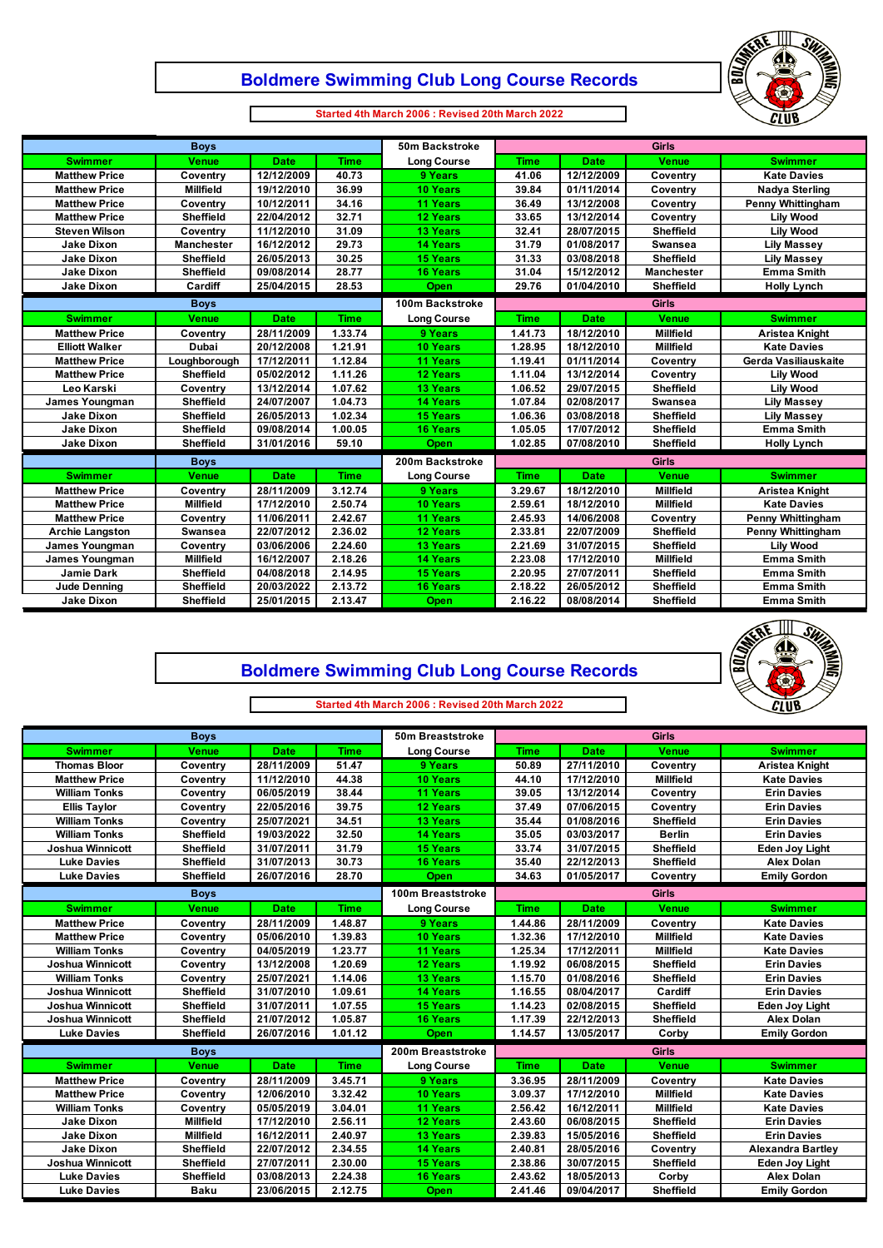#### **Boldmere Swimming Club Long Course Records**



**Started 4th March 2006 : Revised 20th March 2022**

 $\Box$ 

 $\mathsf \Gamma$ 

| <b>Boys</b>            |                   |             |             | 50m Backstroke     | <b>Girls</b> |             |                   |                          |
|------------------------|-------------------|-------------|-------------|--------------------|--------------|-------------|-------------------|--------------------------|
| <b>Swimmer</b>         | <b>Venue</b>      | <b>Date</b> | <b>Time</b> | <b>Long Course</b> | <b>Time</b>  | <b>Date</b> | <b>Venue</b>      | <b>Swimmer</b>           |
| <b>Matthew Price</b>   | Coventry          | 12/12/2009  | 40.73       | 9 Years            | 41.06        | 12/12/2009  | Coventry          | <b>Kate Davies</b>       |
| <b>Matthew Price</b>   | <b>Millfield</b>  | 19/12/2010  | 36.99       | <b>10 Years</b>    | 39.84        | 01/11/2014  | Coventry          | <b>Nadya Sterling</b>    |
| <b>Matthew Price</b>   | Coventry          | 10/12/2011  | 34.16       | <b>11 Years</b>    | 36.49        | 13/12/2008  | Coventry          | <b>Penny Whittingham</b> |
| <b>Matthew Price</b>   | <b>Sheffield</b>  | 22/04/2012  | 32.71       | <b>12 Years</b>    | 33.65        | 13/12/2014  | Coventry          | <b>Lilv Wood</b>         |
| <b>Steven Wilson</b>   | Coventry          | 11/12/2010  | 31.09       | <b>13 Years</b>    | 32.41        | 28/07/2015  | <b>Sheffield</b>  | <b>Lilv Wood</b>         |
| <b>Jake Dixon</b>      | <b>Manchester</b> | 16/12/2012  | 29.73       | <b>14 Years</b>    | 31.79        | 01/08/2017  | Swansea           | <b>Lily Massey</b>       |
| <b>Jake Dixon</b>      | <b>Sheffield</b>  | 26/05/2013  | 30.25       | <b>15 Years</b>    | 31.33        | 03/08/2018  | <b>Sheffield</b>  | <b>Lily Massey</b>       |
| <b>Jake Dixon</b>      | <b>Sheffield</b>  | 09/08/2014  | 28.77       | <b>16 Years</b>    | 31.04        | 15/12/2012  | <b>Manchester</b> | <b>Emma Smith</b>        |
| <b>Jake Dixon</b>      | Cardiff           | 25/04/2015  | 28.53       | Open               | 29.76        | 01/04/2010  | <b>Sheffield</b>  | <b>Holly Lynch</b>       |
|                        | <b>Boys</b>       |             |             | 100m Backstroke    |              |             | <b>Girls</b>      |                          |
| <b>Swimmer</b>         | <b>Venue</b>      | <b>Date</b> | <b>Time</b> | <b>Long Course</b> | <b>Time</b>  | <b>Date</b> | <b>Venue</b>      | <b>Swimmer</b>           |
| <b>Matthew Price</b>   | Coventry          | 28/11/2009  | 1.33.74     | 9 Years            | 1.41.73      | 18/12/2010  | <b>Millfield</b>  | Aristea Knight           |
| <b>Elliott Walker</b>  | Dubai             | 20/12/2008  | 1.21.91     | <b>10 Years</b>    | 1.28.95      | 18/12/2010  | <b>Millfield</b>  | <b>Kate Davies</b>       |
| <b>Matthew Price</b>   | Loughborough      | 17/12/2011  | 1.12.84     | <b>11 Years</b>    | 1.19.41      | 01/11/2014  | Coventry          | Gerda Vasiliauskaite     |
| <b>Matthew Price</b>   | <b>Sheffield</b>  | 05/02/2012  | 1.11.26     | <b>12 Years</b>    | 1.11.04      | 13/12/2014  | Coventry          | <b>Lily Wood</b>         |
| Leo Karski             | Coventry          | 13/12/2014  | 1.07.62     | <b>13 Years</b>    | 1.06.52      | 29/07/2015  | <b>Sheffield</b>  | <b>Lily Wood</b>         |
| James Youngman         | Sheffield         | 24/07/2007  | 1.04.73     | <b>14 Years</b>    | 1.07.84      | 02/08/2017  | Swansea           | <b>Lily Massey</b>       |
| <b>Jake Dixon</b>      | <b>Sheffield</b>  | 26/05/2013  | 1.02.34     | <b>15 Years</b>    | 1.06.36      | 03/08/2018  | <b>Sheffield</b>  | <b>Lily Massey</b>       |
| <b>Jake Dixon</b>      | <b>Sheffield</b>  | 09/08/2014  | 1.00.05     | <b>16 Years</b>    | 1.05.05      | 17/07/2012  | <b>Sheffield</b>  | <b>Emma Smith</b>        |
| <b>Jake Dixon</b>      | <b>Sheffield</b>  | 31/01/2016  | 59.10       | Open               | 1.02.85      | 07/08/2010  | Sheffield         | <b>Holly Lynch</b>       |
|                        | <b>Boys</b>       |             |             | 200m Backstroke    | <b>Girls</b> |             |                   |                          |
| <b>Swimmer</b>         | <b>Venue</b>      | <b>Date</b> | <b>Time</b> | <b>Long Course</b> | <b>Time</b>  | <b>Date</b> | <b>Venue</b>      | <b>Swimmer</b>           |
| <b>Matthew Price</b>   | Coventry          | 28/11/2009  | 3.12.74     | 9 Years            | 3.29.67      | 18/12/2010  | <b>Millfield</b>  | <b>Aristea Knight</b>    |
| <b>Matthew Price</b>   | <b>Millfield</b>  | 17/12/2010  | 2.50.74     | <b>10 Years</b>    | 2.59.61      | 18/12/2010  | Millfield         | <b>Kate Davies</b>       |
| <b>Matthew Price</b>   | Coventry          | 11/06/2011  | 2.42.67     | <b>11 Years</b>    | 2.45.93      | 14/06/2008  | Coventry          | <b>Penny Whittingham</b> |
| <b>Archie Langston</b> | <b>Swansea</b>    | 22/07/2012  | 2.36.02     | <b>12 Years</b>    | 2.33.81      | 22/07/2009  | <b>Sheffield</b>  | <b>Penny Whittingham</b> |
| James Youngman         | Coventry          | 03/06/2006  | 2.24.60     | <b>13 Years</b>    | 2.21.69      | 31/07/2015  | <b>Sheffield</b>  | <b>Lily Wood</b>         |
| James Youngman         | <b>Millfield</b>  | 16/12/2007  | 2.18.26     | <b>14 Years</b>    | 2.23.08      | 17/12/2010  | Millfield         | <b>Emma Smith</b>        |
| <b>Jamie Dark</b>      | Sheffield         | 04/08/2018  | 2.14.95     | <b>15 Years</b>    | 2.20.95      | 27/07/2011  | Sheffield         | <b>Emma Smith</b>        |
| <b>Jude Denning</b>    | Sheffield         | 20/03/2022  | 2.13.72     | <b>16 Years</b>    | 2.18.22      | 26/05/2012  | <b>Sheffield</b>  | <b>Emma Smith</b>        |
| <b>Jake Dixon</b>      | <b>Sheffield</b>  | 25/01/2015  | 2.13.47     | Open               | 2.16.22      | 08/08/2014  | Sheffield         | <b>Emma Smith</b>        |



## **Boldmere Swimming Club Long Course Records**

**Started 4th March 2006 : Revised 20th March 2022**

| <b>Boys</b>             |                  |             |             | 50m Breaststroke   | <b>Girls</b> |             |                  |                          |
|-------------------------|------------------|-------------|-------------|--------------------|--------------|-------------|------------------|--------------------------|
| <b>Swimmer</b>          | <b>Venue</b>     | <b>Date</b> | <b>Time</b> | <b>Long Course</b> | <b>Time</b>  | <b>Date</b> | <b>Venue</b>     | <b>Swimmer</b>           |
| <b>Thomas Bloor</b>     | Coventry         | 28/11/2009  | 51.47       | 9 Years            | 50.89        | 27/11/2010  | Coventry         | Aristea Knight           |
| <b>Matthew Price</b>    | Coventry         | 11/12/2010  | 44.38       | 10 Years           | 44.10        | 17/12/2010  | <b>Millfield</b> | <b>Kate Davies</b>       |
| <b>William Tonks</b>    | Coventry         | 06/05/2019  | 38.44       | <b>11 Years</b>    | 39.05        | 13/12/2014  | Coventry         | <b>Erin Davies</b>       |
| <b>Ellis Taylor</b>     | Coventry         | 22/05/2016  | 39.75       | 12 Years           | 37.49        | 07/06/2015  | Coventry         | <b>Erin Davies</b>       |
| <b>William Tonks</b>    | Coventry         | 25/07/2021  | 34.51       | <b>13 Years</b>    | 35.44        | 01/08/2016  | <b>Sheffield</b> | <b>Erin Davies</b>       |
| <b>William Tonks</b>    | Sheffield        | 19/03/2022  | 32.50       | <b>14 Years</b>    | 35.05        | 03/03/2017  | <b>Berlin</b>    | <b>Erin Davies</b>       |
| <b>Joshua Winnicott</b> | <b>Sheffield</b> | 31/07/2011  | 31.79       | <b>15 Years</b>    | 33.74        | 31/07/2015  | <b>Sheffield</b> | <b>Eden Joy Light</b>    |
| <b>Luke Davies</b>      | <b>Sheffield</b> | 31/07/2013  | 30.73       | <b>16 Years</b>    | 35.40        | 22/12/2013  | <b>Sheffield</b> | <b>Alex Dolan</b>        |
| <b>Luke Davies</b>      | <b>Sheffield</b> | 26/07/2016  | 28.70       | Open               | 34.63        | 01/05/2017  | Coventry         | <b>Emily Gordon</b>      |
|                         | <b>Boys</b>      |             |             | 100m Breaststroke  |              |             | <b>Girls</b>     |                          |
| <b>Swimmer</b>          | Venue            | <b>Date</b> | <b>Time</b> | <b>Long Course</b> | <b>Time</b>  | <b>Date</b> | <b>Venue</b>     | <b>Swimmer</b>           |
| <b>Matthew Price</b>    | Coventry         | 28/11/2009  | 1.48.87     | 9 Years            | 1.44.86      | 28/11/2009  | Coventry         | <b>Kate Davies</b>       |
| <b>Matthew Price</b>    | Coventry         | 05/06/2010  | 1.39.83     | 10 Years           | 1.32.36      | 17/12/2010  | <b>Millfield</b> | <b>Kate Davies</b>       |
| <b>William Tonks</b>    | Coventry         | 04/05/2019  | 1.23.77     | <b>11 Years</b>    | 1.25.34      | 17/12/2011  | <b>Millfield</b> | <b>Kate Davies</b>       |
| <b>Joshua Winnicott</b> | Coventry         | 13/12/2008  | 1.20.69     | 12 Years           | 1.19.92      | 06/08/2015  | Sheffield        | <b>Erin Davies</b>       |
| <b>William Tonks</b>    | Coventry         | 25/07/2021  | 1.14.06     | <b>13 Years</b>    | 1.15.70      | 01/08/2016  | <b>Sheffield</b> | <b>Erin Davies</b>       |
| <b>Joshua Winnicott</b> | <b>Sheffield</b> | 31/07/2010  | 1.09.61     | <b>14 Years</b>    | 1.16.55      | 08/04/2017  | Cardiff          | <b>Erin Davies</b>       |
| <b>Joshua Winnicott</b> | Sheffield        | 31/07/2011  | 1.07.55     | <b>15 Years</b>    | 1.14.23      | 02/08/2015  | Sheffield        | <b>Eden Joy Light</b>    |
| <b>Joshua Winnicott</b> | <b>Sheffield</b> | 21/07/2012  | 1.05.87     | <b>16 Years</b>    | 1.17.39      | 22/12/2013  | <b>Sheffield</b> | <b>Alex Dolan</b>        |
| <b>Luke Davies</b>      | Sheffield        | 26/07/2016  | 1.01.12     | Open               | 1.14.57      | 13/05/2017  | Corby            | <b>Emily Gordon</b>      |
|                         | <b>Boys</b>      |             |             | 200m Breaststroke  | <b>Girls</b> |             |                  |                          |
| <b>Swimmer</b>          | <b>Venue</b>     | <b>Date</b> | <b>Time</b> | <b>Long Course</b> | <b>Time</b>  | <b>Date</b> | Venue            | <b>Swimmer</b>           |
| <b>Matthew Price</b>    | Coventry         | 28/11/2009  | 3.45.71     | 9 Years            | 3.36.95      | 28/11/2009  | Coventry         | <b>Kate Davies</b>       |
| <b>Matthew Price</b>    | Coventry         | 12/06/2010  | 3.32.42     | 10 Years           | 3.09.37      | 17/12/2010  | <b>Millfield</b> | <b>Kate Davies</b>       |
| <b>William Tonks</b>    | Coventry         | 05/05/2019  | 3.04.01     | <b>11 Years</b>    | 2.56.42      | 16/12/2011  | <b>Millfield</b> | <b>Kate Davies</b>       |
| <b>Jake Dixon</b>       | <b>Millfield</b> | 17/12/2010  | 2.56.11     | <b>12 Years</b>    | 2.43.60      | 06/08/2015  | <b>Sheffield</b> | <b>Erin Davies</b>       |
| <b>Jake Dixon</b>       | <b>Millfield</b> | 16/12/2011  | 2.40.97     | <b>13 Years</b>    | 2.39.83      | 15/05/2016  | <b>Sheffield</b> | <b>Erin Davies</b>       |
| <b>Jake Dixon</b>       | <b>Sheffield</b> | 22/07/2012  | 2.34.55     | <b>14 Years</b>    | 2.40.81      | 28/05/2016  | Coventry         | <b>Alexandra Bartley</b> |
| <b>Joshua Winnicott</b> | Sheffield        | 27/07/2011  | 2.30.00     | <b>15 Years</b>    | 2.38.86      | 30/07/2015  | <b>Sheffield</b> | <b>Eden Joy Light</b>    |
| <b>Luke Davies</b>      | <b>Sheffield</b> | 03/08/2013  | 2.24.38     | <b>16 Years</b>    | 2.43.62      | 18/05/2013  | Corby            | <b>Alex Dolan</b>        |
| <b>Luke Davies</b>      | <b>Baku</b>      | 23/06/2015  | 2.12.75     | Open               | 2.41.46      | 09/04/2017  | Sheffield        | <b>Emily Gordon</b>      |